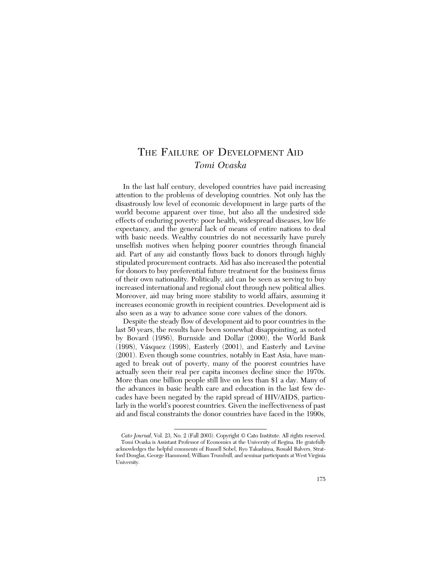# THE FAILURE OF DEVELOPMENT AID *Tomi Ovaska*

In the last half century, developed countries have paid increasing attention to the problems of developing countries. Not only has the disastrously low level of economic development in large parts of the world become apparent over time, but also all the undesired side effects of enduring poverty: poor health, widespread diseases, low life expectancy, and the general lack of means of entire nations to deal with basic needs. Wealthy countries do not necessarily have purely unselfish motives when helping poorer countries through financial aid. Part of any aid constantly flows back to donors through highly stipulated procurement contracts. Aid has also increased the potential for donors to buy preferential future treatment for the business firms of their own nationality. Politically, aid can be seen as serving to buy increased international and regional clout through new political allies. Moreover, aid may bring more stability to world affairs, assuming it increases economic growth in recipient countries. Development aid is also seen as a way to advance some core values of the donors.

Despite the steady flow of development aid to poor countries in the last 50 years, the results have been somewhat disappointing, as noted by Bovard (1986), Burnside and Dollar (2000), the World Bank (1998), Vásquez (1998), Easterly (2001), and Easterly and Levine (2001). Even though some countries, notably in East Asia, have managed to break out of poverty, many of the poorest countries have actually seen their real per capita incomes decline since the 1970s. More than one billion people still live on less than \$1 a day. Many of the advances in basic health care and education in the last few decades have been negated by the rapid spread of HIV/AIDS, particularly in the world's poorest countries. Given the ineffectiveness of past aid and fiscal constraints the donor countries have faced in the 1990s,

*Cato Journal*, Vol. 23, No. 2 (Fall 2003). Copyright © Cato Institute. All rights reserved. Tomi Ovaska is Assistant Professor of Economics at the University of Regina. He gratefully acknowledges the helpful comments of Russell Sobel, Ryo Takashima, Ronald Balvers, Stratford Douglas, George Hammond, William Trumbull, and seminar participants at West Virginia University.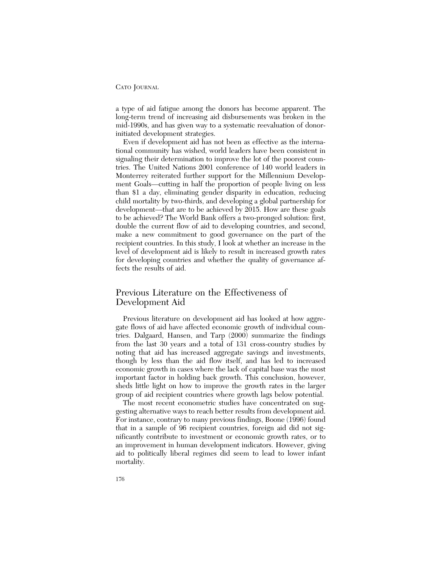a type of aid fatigue among the donors has become apparent. The long-term trend of increasing aid disbursements was broken in the mid-1990s, and has given way to a systematic reevaluation of donorinitiated development strategies.

Even if development aid has not been as effective as the international community has wished, world leaders have been consistent in signaling their determination to improve the lot of the poorest countries. The United Nations 2001 conference of 140 world leaders in Monterrey reiterated further support for the Millennium Development Goals—cutting in half the proportion of people living on less than \$1 a day, eliminating gender disparity in education, reducing child mortality by two-thirds, and developing a global partnership for development—that are to be achieved by 2015. How are these goals to be achieved? The World Bank offers a two-pronged solution: first, double the current flow of aid to developing countries, and second, make a new commitment to good governance on the part of the recipient countries. In this study, I look at whether an increase in the level of development aid is likely to result in increased growth rates for developing countries and whether the quality of governance affects the results of aid.

## Previous Literature on the Effectiveness of Development Aid

Previous literature on development aid has looked at how aggregate flows of aid have affected economic growth of individual countries. Dalgaard, Hansen, and Tarp (2000) summarize the findings from the last 30 years and a total of 131 cross-country studies by noting that aid has increased aggregate savings and investments, though by less than the aid flow itself, and has led to increased economic growth in cases where the lack of capital base was the most important factor in holding back growth. This conclusion, however, sheds little light on how to improve the growth rates in the larger group of aid recipient countries where growth lags below potential.

The most recent econometric studies have concentrated on suggesting alternative ways to reach better results from development aid. For instance, contrary to many previous findings, Boone (1996) found that in a sample of 96 recipient countries, foreign aid did not significantly contribute to investment or economic growth rates, or to an improvement in human development indicators. However, giving aid to politically liberal regimes did seem to lead to lower infant mortality.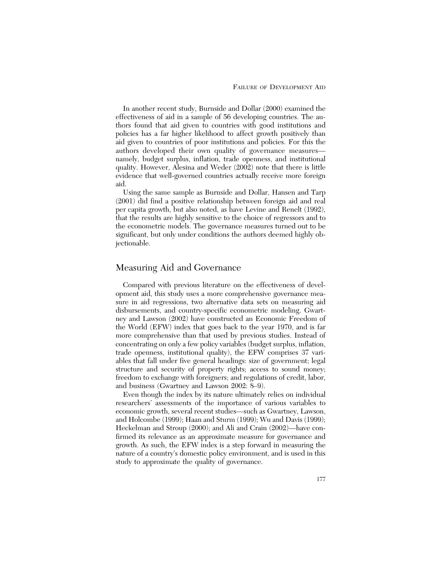In another recent study, Burnside and Dollar (2000) examined the effectiveness of aid in a sample of 56 developing countries. The authors found that aid given to countries with good institutions and policies has a far higher likelihood to affect growth positively than aid given to countries of poor institutions and policies. For this the authors developed their own quality of governance measures namely, budget surplus, inflation, trade openness, and institutional quality. However, Alesina and Weder (2002) note that there is little evidence that well-governed countries actually receive more foreign aid.

Using the same sample as Burnside and Dollar, Hansen and Tarp (2001) did find a positive relationship between foreign aid and real per capita growth, but also noted, as have Levine and Renelt (1992), that the results are highly sensitive to the choice of regressors and to the econometric models. The governance measures turned out to be significant, but only under conditions the authors deemed highly objectionable.

## Measuring Aid and Governance

Compared with previous literature on the effectiveness of development aid, this study uses a more comprehensive governance measure in aid regressions, two alternative data sets on measuring aid disbursements, and country-specific econometric modeling. Gwartney and Lawson (2002) have constructed an Economic Freedom of the World (EFW) index that goes back to the year 1970, and is far more comprehensive than that used by previous studies. Instead of concentrating on only a few policy variables (budget surplus, inflation, trade openness, institutional quality), the EFW comprises 37 variables that fall under five general headings: size of government; legal structure and security of property rights; access to sound money; freedom to exchange with foreigners; and regulations of credit, labor, and business (Gwartney and Lawson 2002: 8–9).

Even though the index by its nature ultimately relies on individual researchers' assessments of the importance of various variables to economic growth, several recent studies—such as Gwartney, Lawson, and Holcombe (1999); Haan and Sturm (1999); Wu and Davis (1999); Heckelman and Stroup (2000); and Ali and Crain (2002)—have confirmed its relevance as an approximate measure for governance and growth. As such, the EFW index is a step forward in measuring the nature of a country's domestic policy environment, and is used in this study to approximate the quality of governance.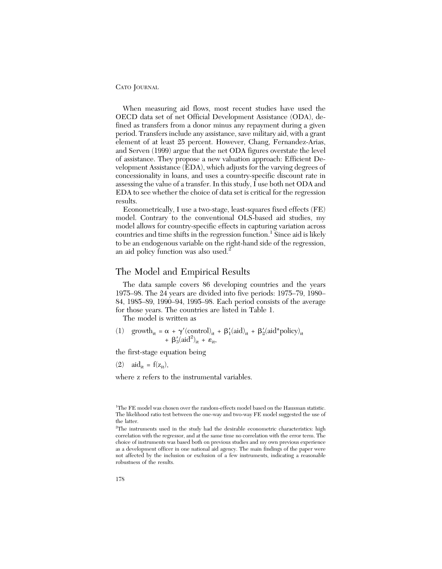When measuring aid flows, most recent studies have used the OECD data set of net Official Development Assistance (ODA), defined as transfers from a donor minus any repayment during a given period. Transfers include any assistance, save military aid, with a grant element of at least 25 percent. However, Chang, Fernandez-Arias, and Serven (1999) argue that the net ODA figures overstate the level of assistance. They propose a new valuation approach: Efficient Development Assistance (EDA), which adjusts for the varying degrees of concessionality in loans, and uses a country-specific discount rate in assessing the value of a transfer. In this study, I use both net ODA and EDA to see whether the choice of data set is critical for the regression results.

Econometrically, I use a two-stage, least-squares fixed effects (FE) model. Contrary to the conventional OLS-based aid studies, my model allows for country-specific effects in capturing variation across countries and time shifts in the regression function.<sup>1</sup> Since aid is likely to be an endogenous variable on the right-hand side of the regression, an aid policy function was also used.<sup>2</sup>

## The Model and Empirical Results

The data sample covers 86 developing countries and the years 1975–98. The 24 years are divided into five periods: 1975–79, 1980– 84, 1985–89, 1990–94, 1995–98. Each period consists of the average for those years. The countries are listed in Table 1.

The model is written as

(1) growth<sub>it</sub> =  $\alpha$  +  $\gamma'(\text{control})_{it} + \beta'_1(\text{aid})_{it} + \beta'_2(\text{aid}^* \text{policy})_{it}$ +  $\beta'_3(\text{aid}^2)_{it} + \varepsilon_{it}$ 

the first-stage equation being

(2)  $\text{aid}_{it} = f(z_{it}),$ 

where z refers to the instrumental variables.

<sup>&</sup>lt;sup>1</sup>The FE model was chosen over the random-effects model based on the Hausman statistic. The likelihood ratio test between the one-way and two-way FE model suggested the use of the latter.

<sup>&</sup>lt;sup>2</sup>The instruments used in the study had the desirable econometric characteristics: high correlation with the regressor, and at the same time no correlation with the error term. The choice of instruments was based both on previous studies and my own previous experience as a development officer in one national aid agency. The main findings of the paper were not affected by the inclusion or exclusion of a few instruments, indicating a reasonable robustness of the results.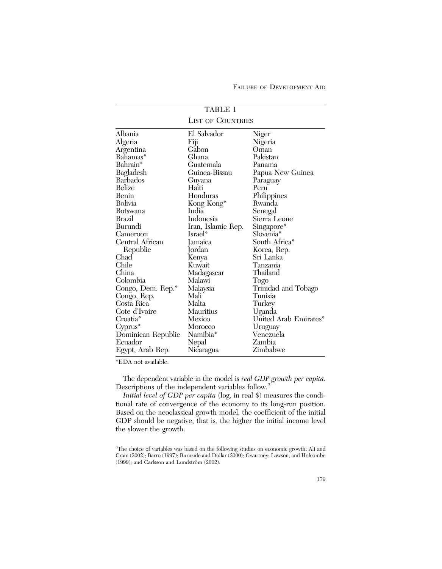FAILURE OF DEVELOPMENT AID

|                         | <b>TABLE 1</b>           |                       |
|-------------------------|--------------------------|-----------------------|
|                         | <b>LIST OF COUNTRIES</b> |                       |
| Albania                 | El Salvador              | Niger                 |
| Algeria                 | Fiji                     | Nigeria               |
| Argentina               | Gabon                    | Oman                  |
| Bahamas*                | Ghana                    | Pakistan              |
| Bahrain*                | Guatemala                | Panama                |
| Bagladesh               | Guinea-Bissau            | Papua New Guinea      |
| <b>Barbados</b>         | Guyana                   | Paraguay              |
| Belize                  | Haiti                    | Peru                  |
| Benin                   | Honduras                 | Philippines           |
| Bolivia                 | Kong Kong*               | Rwanda                |
| Botswana                | India                    | Senegal               |
| Brazil                  | Indonesia                | Sierra Leone          |
| Burundi                 | Iran, Islamic Rep.       | Singapore*            |
| Cameroon                | Israel*                  | Slovenia <sup>*</sup> |
| Central African         | amaica                   | South Africa*         |
| Republic                | Jordan                   | Korea, Rep.           |
| Chad                    | Kenya                    | Sri Lanka             |
| Chile                   | Kuwait                   | Tanzania              |
| China                   | Madagascar               | Thailand              |
| Colombia                | Malawi                   | Togo                  |
| Congo, Dem. Rep.*       | Malaysia                 | Trinidad and Tobago   |
| Congo <sub>,</sub> Rep. | Mali                     | Tunisia               |
| Costa Rica              | Malta                    | Turkey                |
| Cote d'Ivoire           | Mauritius                | Uganda                |
| Croatia*                | Mexico                   | United Arab Emirates* |
| Cyprus*                 | Morocco                  | Uruguay               |
| Dominican Republic      | Namibia*                 | Venezuela             |
| Ecuador                 | Nepal                    | Zambia                |
| Egypt, Arab Rep.        | Nicaragua                | Zimbabwe              |

\*EDA not available.

The dependent variable in the model is *real GDP growth per capita*. Descriptions of the independent variables follow.<sup>3</sup>

*Initial level of GDP per capita* (log, in real \$) measures the conditional rate of convergence of the economy to its long-run position. Based on the neoclassical growth model, the coefficient of the initial GDP should be negative, that is, the higher the initial income level the slower the growth.

<sup>&</sup>lt;sup>3</sup>The choice of variables was based on the following studies on economic growth: Ali and Crain (2002); Barro (1997); Burnside and Dollar (2000); Gwartney; Lawson, and Holcombe (1999); and Carlsson and Lundström (2002).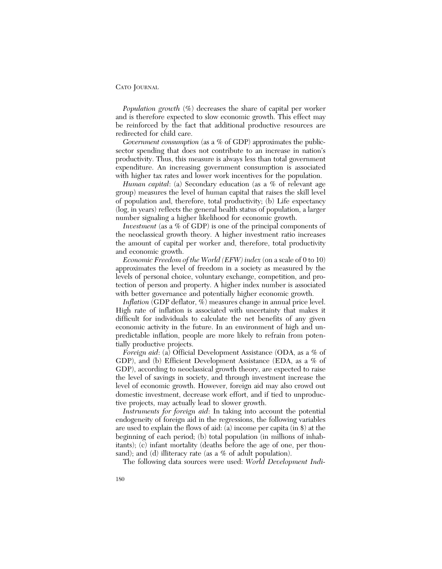*Population growth* (%) decreases the share of capital per worker and is therefore expected to slow economic growth. This effect may be reinforced by the fact that additional productive resources are redirected for child care.

*Government consumption* (as a % of GDP) approximates the publicsector spending that does not contribute to an increase in nation's productivity. Thus, this measure is always less than total government expenditure. An increasing government consumption is associated with higher tax rates and lower work incentives for the population.

*Human capital*: (a) Secondary education (as a % of relevant age group) measures the level of human capital that raises the skill level of population and, therefore, total productivity; (b) Life expectancy (log, in years) reflects the general health status of population, a larger number signaling a higher likelihood for economic growth.

*Investment* (as a % of GDP) is one of the principal components of the neoclassical growth theory. A higher investment ratio increases the amount of capital per worker and, therefore, total productivity and economic growth.

*Economic Freedom of the World (EFW) index* (on a scale of 0 to 10) approximates the level of freedom in a society as measured by the levels of personal choice, voluntary exchange, competition, and protection of person and property. A higher index number is associated with better governance and potentially higher economic growth.

*Inflation* (GDP deflator, %) measures change in annual price level. High rate of inflation is associated with uncertainty that makes it difficult for individuals to calculate the net benefits of any given economic activity in the future. In an environment of high and unpredictable inflation, people are more likely to refrain from potentially productive projects.

*Foreign aid*: (a) Official Development Assistance (ODA, as a % of GDP), and (b) Efficient Development Assistance (EDA, as a % of GDP), according to neoclassical growth theory, are expected to raise the level of savings in society, and through investment increase the level of economic growth. However, foreign aid may also crowd out domestic investment, decrease work effort, and if tied to unproductive projects, may actually lead to slower growth.

*Instruments for foreign aid*: In taking into account the potential endogeneity of foreign aid in the regressions, the following variables are used to explain the flows of aid: (a) income per capita (in \$) at the beginning of each period; (b) total population (in millions of inhabitants); (c) infant mortality (deaths before the age of one, per thousand); and (d) illiteracy rate (as a % of adult population).

The following data sources were used: *World Development Indi-*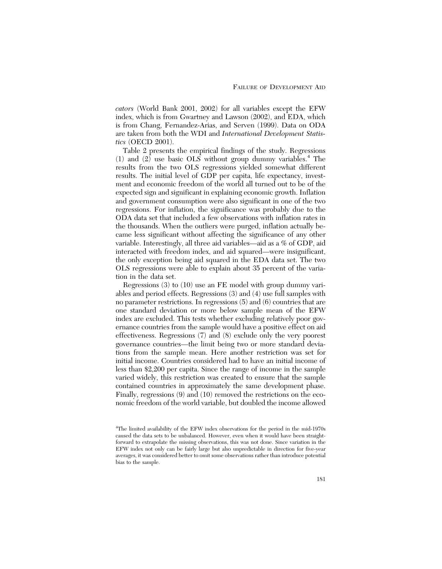*cators* (World Bank 2001, 2002) for all variables except the EFW index, which is from Gwartney and Lawson (2002), and EDA, which is from Chang, Fernandez-Arias, and Serven (1999). Data on ODA are taken from both the WDI and *International Development Statistics* (OECD 2001).

Table 2 presents the empirical findings of the study. Regressions (1) and (2) use basic OLS without group dummy variables.<sup>4</sup> The results from the two OLS regressions yielded somewhat different results. The initial level of GDP per capita, life expectancy, investment and economic freedom of the world all turned out to be of the expected sign and significant in explaining economic growth. Inflation and government consumption were also significant in one of the two regressions. For inflation, the significance was probably due to the ODA data set that included a few observations with inflation rates in the thousands. When the outliers were purged, inflation actually became less significant without affecting the significance of any other variable. Interestingly, all three aid variables—aid as a % of GDP, aid interacted with freedom index, and aid squared—were insignificant, the only exception being aid squared in the EDA data set. The two OLS regressions were able to explain about 35 percent of the variation in the data set.

Regressions (3) to (10) use an FE model with group dummy variables and period effects. Regressions (3) and (4) use full samples with no parameter restrictions. In regressions (5) and (6) countries that are one standard deviation or more below sample mean of the EFW index are excluded. This tests whether excluding relatively poor governance countries from the sample would have a positive effect on aid effectiveness. Regressions (7) and (8) exclude only the very poorest governance countries—the limit being two or more standard deviations from the sample mean. Here another restriction was set for initial income. Countries considered had to have an initial income of less than \$2,200 per capita. Since the range of income in the sample varied widely, this restriction was created to ensure that the sample contained countries in approximately the same development phase. Finally, regressions (9) and (10) removed the restrictions on the economic freedom of the world variable, but doubled the income allowed

<sup>4</sup> The limited availability of the EFW index observations for the period in the mid-1970s caused the data sets to be unbalanced. However, even when it would have been straightforward to extrapolate the missing observations, this was not done. Since variation in the EFW index not only can be fairly large but also unpredictable in direction for five-year averages, it was considered better to omit some observations rather than introduce potential bias to the sample.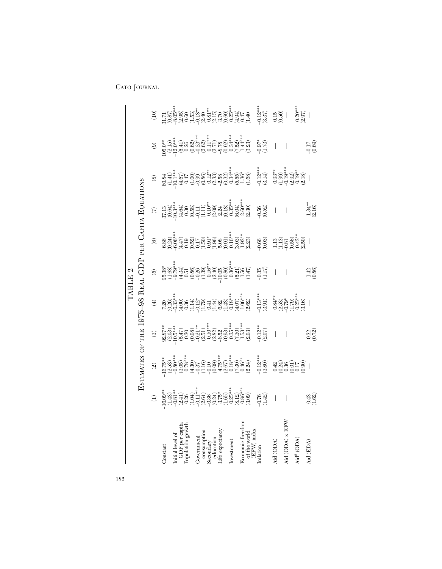|                                                 |                          |                                                        |                                                                                                                              |                                                    | TABLE 2                  |                                                                                                                                                                                                                                                                                                                                                               |                                |                                                                          |                                |                                 |
|-------------------------------------------------|--------------------------|--------------------------------------------------------|------------------------------------------------------------------------------------------------------------------------------|----------------------------------------------------|--------------------------|---------------------------------------------------------------------------------------------------------------------------------------------------------------------------------------------------------------------------------------------------------------------------------------------------------------------------------------------------------------|--------------------------------|--------------------------------------------------------------------------|--------------------------------|---------------------------------|
|                                                 |                          | ESTIMATES OF THE 1975-98 REAL GDP PER CAPITA EQUATIONS |                                                                                                                              |                                                    |                          |                                                                                                                                                                                                                                                                                                                                                               |                                |                                                                          |                                |                                 |
|                                                 | $\ominus$                | $\widehat{\mathfrak{D}}$                               | $\odot$                                                                                                                      | $\bigoplus$                                        | $\widetilde{\mathbf{b}}$ | $\widehat{\mathbf{e}}$                                                                                                                                                                                                                                                                                                                                        | $\widehat{\epsilon}$           | $\circledast$                                                            | $\circledcirc$                 | (10)                            |
| Constant                                        |                          |                                                        |                                                                                                                              |                                                    |                          |                                                                                                                                                                                                                                                                                                                                                               |                                |                                                                          |                                |                                 |
|                                                 |                          |                                                        |                                                                                                                              |                                                    |                          |                                                                                                                                                                                                                                                                                                                                                               |                                |                                                                          |                                |                                 |
|                                                 |                          |                                                        |                                                                                                                              |                                                    |                          |                                                                                                                                                                                                                                                                                                                                                               |                                |                                                                          |                                |                                 |
|                                                 |                          |                                                        | နီ အား<br>အိမ္သံ မွ ၁၀၀၀ - ၁၀၀၀ - ၁၉၀၀ - ၁၉၀၀ - ၁၉၀၀<br>၁၉၀၀ - ၁၉၀၀ - ၁၉၀၀ - ၁၉၀၀ - ၁၉၀၀<br>၁၉၀၀ - ၁၉၀၀ - ၁၉၀၀ - ၁၉၀၀ - ၁၉၀၀ |                                                    |                          |                                                                                                                                                                                                                                                                                                                                                               |                                |                                                                          |                                |                                 |
| Government                                      |                          |                                                        |                                                                                                                              |                                                    |                          |                                                                                                                                                                                                                                                                                                                                                               |                                |                                                                          |                                |                                 |
| consumption                                     |                          |                                                        |                                                                                                                              |                                                    |                          |                                                                                                                                                                                                                                                                                                                                                               |                                |                                                                          |                                |                                 |
| Secondary                                       |                          |                                                        |                                                                                                                              |                                                    |                          |                                                                                                                                                                                                                                                                                                                                                               |                                |                                                                          |                                |                                 |
| Life expectancy<br>education                    |                          |                                                        |                                                                                                                              |                                                    |                          |                                                                                                                                                                                                                                                                                                                                                               |                                |                                                                          |                                |                                 |
|                                                 |                          |                                                        |                                                                                                                              |                                                    |                          |                                                                                                                                                                                                                                                                                                                                                               |                                |                                                                          |                                |                                 |
| Investment                                      |                          |                                                        |                                                                                                                              |                                                    |                          |                                                                                                                                                                                                                                                                                                                                                               |                                |                                                                          |                                |                                 |
|                                                 |                          |                                                        |                                                                                                                              |                                                    |                          |                                                                                                                                                                                                                                                                                                                                                               |                                |                                                                          |                                |                                 |
|                                                 |                          |                                                        |                                                                                                                              |                                                    |                          |                                                                                                                                                                                                                                                                                                                                                               |                                |                                                                          |                                |                                 |
| Economic freedom<br>of the world<br>(EFW) index |                          |                                                        |                                                                                                                              |                                                    |                          |                                                                                                                                                                                                                                                                                                                                                               |                                |                                                                          |                                |                                 |
| Inflation                                       | $-0.76$<br>(1.42)        | $\frac{-0.12^{\circ \circ \circ}}{(3.80)}$             | $\frac{12}{(2.07)}$                                                                                                          | $\frac{0.13^{88}}{2(3.91)}$                        | $\frac{-0.35}{(1.17)}$   | $\frac{-0.66}{(0.03)}$                                                                                                                                                                                                                                                                                                                                        | $-0.50$<br>$(0.52)$            | $-0.12$ <sup>*</sup><br>(3.14)                                           | $-0.97$ <sup>*</sup><br>(1.73) | $-0.12$ <sup>**</sup><br>(3.37) |
| Aid (ODA                                        | $\overline{\phantom{a}}$ |                                                        | $\bigg $                                                                                                                     |                                                    |                          |                                                                                                                                                                                                                                                                                                                                                               |                                |                                                                          | $\overline{1}$                 | $\frac{0.15}{0.500}$            |
| Aid (ODA) $\times$ EFW                          |                          |                                                        | $\bigg $                                                                                                                     |                                                    |                          |                                                                                                                                                                                                                                                                                                                                                               | $\mathbf{I}$                   |                                                                          | $\bigg $                       |                                 |
| $\text{Mid}^2$ (ODA)                            | $\bigg $                 |                                                        | $\bigg $                                                                                                                     | **<br>တို့အို အို အိုး<br>မော် (၁၂၀)<br>မော် (၁၂၀) | $\vert$                  | $\begin{array}{c} 1.3 \\[-4pt] -1.3 \\[-4pt] -0.5 \\[-4pt] -0.5 \\[-4pt] -0.5 \\[-4pt] -0.5 \\[-4pt] -0.5 \\[-4pt] -0.5 \\[-4pt] -0.5 \\[-4pt] -0.5 \\[-4pt] -0.5 \\[-4pt] -0.5 \\[-4pt] -0.5 \\[-4pt] -0.5 \\[-4pt] -0.5 \\[-4pt] -0.5 \\[-4pt] -0.5 \\[-4pt] -0.5 \\[-4pt] -0.5 \\[-4pt] -0.5 \\[-4pt] -0.5 \\[-4pt] -0.5 \\[-4pt] -0.5 \\[-4pt] -0.5 \\[-$ |                                | $0.33$<br>$-0.39$<br>$-1.39$<br>$-0.39$<br>$-0.39$<br>$-0.39$<br>$-0.39$ | $\bigg $                       | $\frac{0.20^{\circ}}{2.97}$     |
| Aid (EDA)                                       | $0.43$<br>$(1.62)$       |                                                        | $\begin{array}{c} 0.32 \\ 0.72 \end{array}$                                                                                  |                                                    | $1.42$<br>$(0.86)$       |                                                                                                                                                                                                                                                                                                                                                               | $1.34$ <sup>**</sup><br>(2.16) |                                                                          | $-0.17$<br>$(0.69)$            |                                 |

182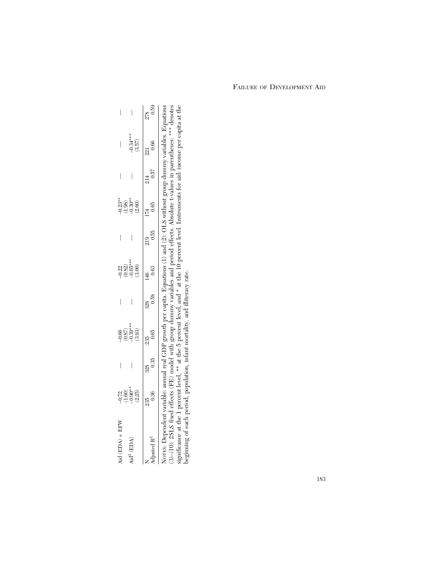|                                | $\Gamma_{\alpha\alpha}$               |                          |                           |                                           | h mor contro Forthon (1) ond (0). Of C without recover |                          |                                                | $\left[ \begin{array}{c} \Gamma_{\rm{max}} \\ \Gamma_{\rm{max}} \end{array} \right]$ and $\left[ \begin{array}{c} \Gamma_{\rm{max}} \\ \Gamma_{\rm{max}} \end{array} \right]$ |                                        | Norme. I               |
|--------------------------------|---------------------------------------|--------------------------|---------------------------|-------------------------------------------|--------------------------------------------------------|--------------------------|------------------------------------------------|-------------------------------------------------------------------------------------------------------------------------------------------------------------------------------|----------------------------------------|------------------------|
| $\frac{278}{0.55}$             | 0.66<br>$\overline{21}$               | $\frac{214}{0.57}$       |                           | $\begin{array}{c} 219 \ 0.55 \end{array}$ | 0.63                                                   | $\frac{328}{0.58}$       | 0.65<br>35                                     | 0.35<br>328                                                                                                                                                                   | 235<br>0.36                            |                        |
|                                | $-0.34$ ***<br>(3.57)                 |                          |                           |                                           |                                                        |                          |                                                |                                                                                                                                                                               |                                        |                        |
|                                |                                       | $\Big $                  | ီး<br>၁၁၁၁<br>၂၁၁၁<br>၁၁၁ |                                           | $-0.32$<br>$(0.82)$<br>$-0.65$ ***<br>$(3.00)$         | $\overline{\phantom{a}}$ | $-0.66$<br>$(0.87)$<br>$-0.39$ ***<br>$(3.33)$ |                                                                                                                                                                               | $72$<br>$-1.60$<br>$-1.935$<br>$-1.25$ |                        |
| $\begin{array}{c} \end{array}$ | $\begin{array}{c} \hline \end{array}$ | $\overline{\phantom{a}}$ |                           | $\begin{array}{c} \hline \end{array}$     |                                                        | $\overline{1}$           |                                                | $\overline{\phantom{a}}$                                                                                                                                                      |                                        | Aid $(EDA) \times EFW$ |

Nores: Dependent variable: amual real GDP growth per capita. Equations (1) and (2): OLS without group dummy variables. Equations (3)-(10): 2SLS fixed effects (FE) model with group dummy variables and period effects. Absol NOTES: Dependent variable: annual real GDP growth per capita. Equations (1) and (2): OLS without group dummy variables. Equations (3)–(10): 2SLS fixed effects (FE) model with group dummy variables and period effects. Absolute t-values in parentheses: \*\*\* denotes significance at the 1 percent level, \*\* at the 5 percent level, and \* at the 10 percent level. Instruments for aid: income per capita at the beginning of each period, population, infant mortality, and illiteracy rate.

### FAILURE OF DEVELOPMENT AID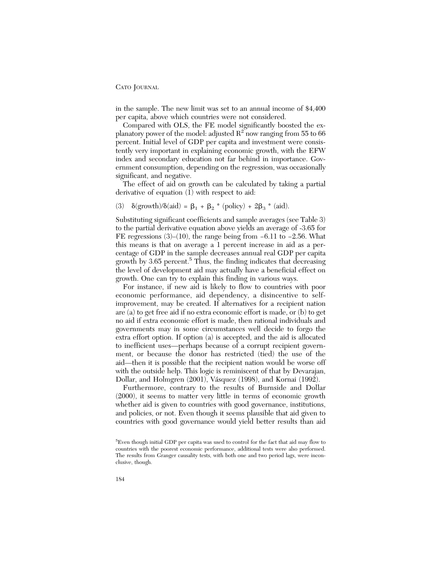in the sample. The new limit was set to an annual income of \$4,400 per capita, above which countries were not considered.

Compared with OLS, the FE model significantly boosted the explanatory power of the model: adjusted  $R^2$  now ranging from 55 to 66 percent. Initial level of GDP per capita and investment were consistently very important in explaining economic growth, with the EFW index and secondary education not far behind in importance. Government consumption, depending on the regression, was occasionally significant, and negative.

The effect of aid on growth can be calculated by taking a partial derivative of equation (1) with respect to aid:

(3)  $\delta(\text{growth})/\delta(\text{aid}) = \beta_1 + \beta_2$  \* (policy) + 2 $\beta_3$  \* (aid).

Substituting significant coefficients and sample averages (see Table 3) to the partial derivative equation above yields an average of -3.65 for FE regressions (3)–(10), the range being from −6.11 to −2.56. What this means is that on average a 1 percent increase in aid as a percentage of GDP in the sample decreases annual real GDP per capita growth by 3.65 percent.<sup>5</sup> Thus, the finding indicates that decreasing the level of development aid may actually have a beneficial effect on growth. One can try to explain this finding in various ways.

For instance, if new aid is likely to flow to countries with poor economic performance, aid dependency, a disincentive to selfimprovement, may be created. If alternatives for a recipient nation are (a) to get free aid if no extra economic effort is made, or (b) to get no aid if extra economic effort is made, then rational individuals and governments may in some circumstances well decide to forgo the extra effort option. If option (a) is accepted, and the aid is allocated to inefficient uses—perhaps because of a corrupt recipient government, or because the donor has restricted (tied) the use of the aid—then it is possible that the recipient nation would be worse off with the outside help. This logic is reminiscent of that by Devarajan, Dollar, and Holmgren (2001), Vásquez (1998), and Kornai (1992).

Furthermore, contrary to the results of Burnside and Dollar (2000), it seems to matter very little in terms of economic growth whether aid is given to countries with good governance, institutions, and policies, or not. Even though it seems plausible that aid given to countries with good governance would yield better results than aid

<sup>5</sup> Even though initial GDP per capita was used to control for the fact that aid may flow to countries with the poorest economic performance, additional tests were also performed. The results from Granger causality tests, with both one and two period lags, were inconclusive, though.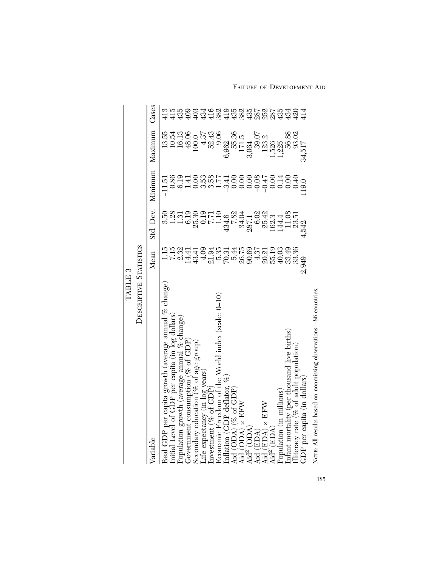| TABLE 3                                                         |                             |                                                              |                            |                                |             |
|-----------------------------------------------------------------|-----------------------------|--------------------------------------------------------------|----------------------------|--------------------------------|-------------|
| DESCRIPTIVE STATISTICS                                          |                             |                                                              |                            |                                |             |
| Variable                                                        | Mean                        | Std. Dev.                                                    | Minimum                    | Maximum                        | $\rm Cases$ |
| Real GDP per capita growth (average annual % change)            |                             | 3.50                                                         | IJ.51                      | 13.55                          |             |
| Initial Level of GDP per capita (in log dollars)                |                             |                                                              | 0.86                       |                                |             |
| Population growth (average annual $\%$ change)                  | 1152<br>1152<br>1152        |                                                              |                            | 16.13                          |             |
| Government consumption (% of GDP                                | 14.41                       | $\frac{83}{110}$                                             | $-6.19$<br>$1.41$          | 48.06                          |             |
| Secondary education $(\%$ of age group)                         |                             | 25.30                                                        | $\rm 0.00$                 | 0.00                           |             |
|                                                                 |                             | 0.19                                                         | 3.58<br>3.58               | 4.37                           |             |
| Life expectancy (in log years)<br>Investment (% of GDP)         |                             |                                                              |                            | 52.43                          |             |
| Economic Freedom of the World index (scale: 0-10)               |                             |                                                              |                            | 9.06                           |             |
| Inflation (GDP deflator, $\%$ )                                 | 4303450<br>4403550<br>44055 |                                                              | $1.77$<br>$-3.41$          | 6,962                          |             |
| Aid $(ODA)$ $(%$ of $GDP)$                                      | $5.44$<br>26.75             | $\begin{array}{c} 7.71 \\ 1.10 \\ 434.6 \\ 7.82 \end{array}$ | 888848<br>000000<br>000000 | $\frac{55.36}{171.5}$<br>3,064 |             |
| $ODA) \times EFW$<br>Aid (                                      |                             | 34.04                                                        |                            |                                |             |
| (ODA)<br>$\text{Mid}^2$                                         | 90.69                       | 287.1                                                        |                            |                                |             |
| (EDA)<br>Aid (                                                  | 4.37                        | 6.02                                                         |                            | 39.07                          |             |
| $\times$ EFW<br>Aid (EDA)                                       |                             | 25.42                                                        |                            |                                |             |
| $\text{Mid}^2$ (EDA)                                            | 20.21<br>55.19              | 162.3                                                        |                            |                                |             |
| Population (in millions)                                        | 40.03                       | 44.4                                                         | $0.14$<br>0.00             | $1,526$<br>$1,526$<br>$1,225$  |             |
| Infant mortality (per thousand live births)                     | 33.49                       | 11.08                                                        |                            | 56.88                          |             |
| Illiteracy rate ( $%$ of adult population                       | 33.36                       | 23.51                                                        | 0.40                       | 93.02                          |             |
| GDP per capita (in dollars)                                     | 2,949                       | 542                                                          | 19.0                       | 34.517                         | 114         |
| NOTE: All results based on nonmissing observations-86 countries |                             |                                                              |                            |                                |             |

FAILURE OF DEVELOPMENT AID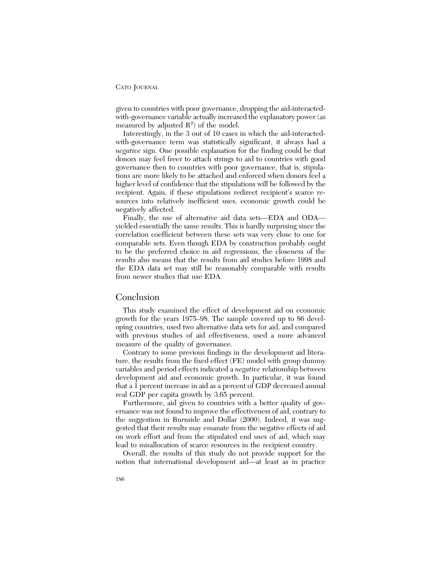given to countries with poor governance, dropping the aid-interactedwith-governance variable actually increased the explanatory power (as measured by adjusted  $R^2$ ) of the model.

Interestingly, in the 3 out of 10 cases in which the aid-interactedwith-governance term was statistically significant, it always had a *negative* sign. One possible explanation for the finding could be that donors may feel freer to attach strings to aid to countries with good governance then to countries with poor governance, that is, stipulations are more likely to be attached and enforced when donors feel a higher level of confidence that the stipulations will be followed by the recipient. Again, if these stipulations redirect recipient's scarce resources into relatively inefficient uses, economic growth could be negatively affected.

Finally, the use of alternative aid data sets—EDA and ODA yielded essentially the same results. This is hardly surprising since the correlation coefficient between these sets was very close to one for comparable sets. Even though EDA by construction probably ought to be the preferred choice in aid regressions, the closeness of the results also means that the results from aid studies before 1998 and the EDA data set may still be reasonably comparable with results from newer studies that use EDA.

## Conclusion

This study examined the effect of development aid on economic growth for the years 1975–98. The sample covered up to 86 developing countries, used two alternative data sets for aid, and compared with previous studies of aid effectiveness, used a more advanced measure of the quality of governance.

Contrary to some previous findings in the development aid literature, the results from the fixed effect (FE) model with group dummy variables and period effects indicated a *negative* relationship between development aid and economic growth. In particular, it was found that a 1 percent increase in aid as a percent of GDP decreased annual real GDP per capita growth by 3.65 percent.

Furthermore, aid given to countries with a better quality of governance was not found to improve the effectiveness of aid, contrary to the suggestion in Burnside and Dollar (2000). Indeed, it was suggested that their results may emanate from the negative effects of aid on work effort and from the stipulated end uses of aid, which may lead to misallocation of scarce resources in the recipient country.

Overall, the results of this study do not provide support for the notion that international development aid—at least as in practice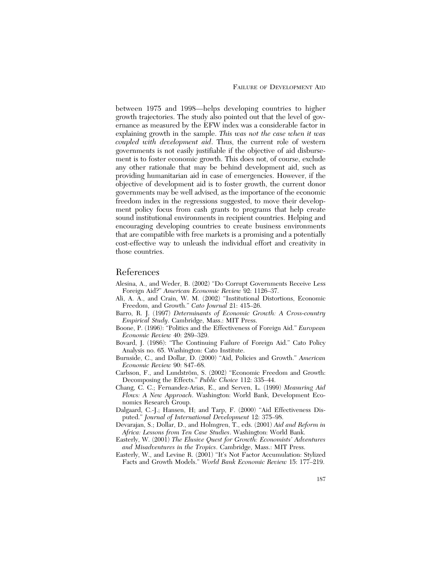between 1975 and 1998—helps developing countries to higher growth trajectories. The study also pointed out that the level of governance as measured by the EFW index was a considerable factor in explaining growth in the sample. *This was not the case when it was coupled with development aid*. Thus, the current role of western governments is not easily justifiable if the objective of aid disbursement is to foster economic growth. This does not, of course, exclude any other rationale that may be behind development aid, such as providing humanitarian aid in case of emergencies. However, if the objective of development aid is to foster growth, the current donor governments may be well advised, as the importance of the economic freedom index in the regressions suggested, to move their development policy focus from cash grants to programs that help create sound institutional environments in recipient countries. Helping and encouraging developing countries to create business environments that are compatible with free markets is a promising and a potentially cost-effective way to unleash the individual effort and creativity in those countries.

## References

- Alesina, A., and Weder, B. (2002) "Do Corrupt Governments Receive Less Foreign Aid?" *American Economic Review* 92: 1126–37.
- Ali, A. A., and Crain, W. M. (2002) "Institutional Distortions, Economic Freedom, and Growth." *Cato Journal* 21: 415–26.
- Barro, R. J. (1997) *Determinants of Economic Growth: A Cross-country Empirical Study*. Cambridge, Mass.: MIT Press.
- Boone, P. (1996): "Politics and the Effectiveness of Foreign Aid." *European Economic Review* 40: 289–329.
- Bovard, J. (1986): "The Continuing Failure of Foreign Aid." Cato Policy Analysis no. 65. Washington: Cato Institute.
- Burnside, C., and Dollar, D. (2000) "Aid, Policies and Growth." *American Economic Review* 90: 847–68.
- Carlsson, F., and Lundström, S. (2002) "Economic Freedom and Growth: Decomposing the Effects." *Public Choice* 112: 335–44.
- Chang, C. C.; Fernandez-Arias, E., and Serven, L. (1999) *Measuring Aid Flows: A New Approach*. Washington: World Bank, Development Economics Research Group.
- Dalgaard, C.-J.; Hansen, H; and Tarp, F. (2000) "Aid Effectiveness Disputed." *Journal of International Development* 12: 375–98.
- Devarajan, S.; Dollar, D., and Holmgren, T., eds. (2001) *Aid and Reform in Africa: Lessons from Ten Case Studies*. Washington: World Bank.
- Easterly, W. (2001) *The Elusive Quest for Growth: Economists' Adventures and Misadventures in the Tropics*. Cambridge, Mass.: MIT Press.
- Easterly, W., and Levine R. (2001) "It's Not Factor Accumulation: Stylized Facts and Growth Models." *World Bank Economic Review* 15: 177–219.